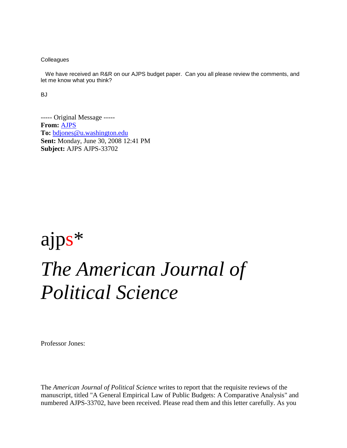**Colleagues** 

 We have received an R&R on our AJPS budget paper. Can you all please review the comments, and let me know what you think?

BJ

----- Original Message ----- **From:** [AJPS](mailto:ajps@utdallas.edu_) **To:** [bdjones@u.washington.edu](mailto:bdjones@u.washington.edu_) **Sent:** Monday, June 30, 2008 12:41 PM **Subject:** AJPS AJPS-33702

## ajps\* *The American Journal of Political Science*

Professor Jones:

The *American Journal of Political Science* writes to report that the requisite reviews of the manuscript, titled "A General Empirical Law of Public Budgets: A Comparative Analysis" and numbered AJPS-33702, have been received. Please read them and this letter carefully. As you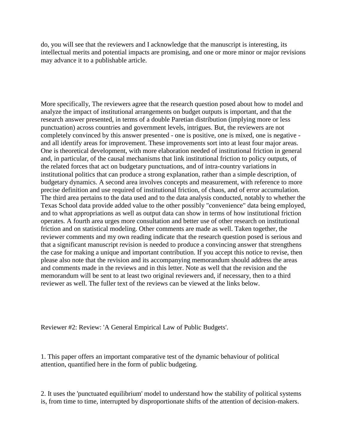do, you will see that the reviewers and I acknowledge that the manuscript is interesting, its intellectual merits and potential impacts are promising, and one or more minor or major revisions may advance it to a publishable article.

More specifically, The reviewers agree that the research question posed about how to model and analyze the impact of institutional arrangements on budget outputs is important, and that the research answer presented, in terms of a double Paretian distribution (implying more or less punctuation) across countries and government levels, intrigues. But, the reviewers are not completely convinced by this answer presented - one is positive, one is mixed, one is negative and all identify areas for improvement. These improvements sort into at least four major areas. One is theoretical development, with more elaboration needed of institutional friction in general and, in particular, of the causal mechanisms that link institutional friction to policy outputs, of the related forces that act on budgetary punctuations, and of intra-country variations in institutional politics that can produce a strong explanation, rather than a simple description, of budgetary dynamics. A second area involves concepts and measurement, with reference to more precise definition and use required of institutional friction, of chaos, and of error accumulation. The third area pertains to the data used and to the data analysis conducted, notably to whether the Texas School data provide added value to the other possibly "convenience" data being employed, and to what appropriations as well as output data can show in terms of how institutional friction operates. A fourth area urges more consultation and better use of other research on institutional friction and on statistical modeling. Other comments are made as well. Taken together, the reviewer comments and my own reading indicate that the research question posed is serious and that a significant manuscript revision is needed to produce a convincing answer that strengthens the case for making a unique and important contribution. If you accept this notice to revise, then please also note that the revision and its accompanying memorandum should address the areas and comments made in the reviews and in this letter. Note as well that the revision and the memorandum will be sent to at least two original reviewers and, if necessary, then to a third reviewer as well. The fuller text of the reviews can be viewed at the links below.

Reviewer #2: Review: 'A General Empirical Law of Public Budgets'.

1. This paper offers an important comparative test of the dynamic behaviour of political attention, quantified here in the form of public budgeting.

2. It uses the 'punctuated equilibrium' model to understand how the stability of political systems is, from time to time, interrupted by disproportionate shifts of the attention of decision-makers.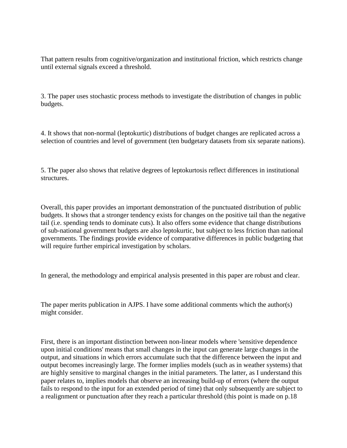That pattern results from cognitive/organization and institutional friction, which restricts change until external signals exceed a threshold.

3. The paper uses stochastic process methods to investigate the distribution of changes in public budgets.

4. It shows that non-normal (leptokurtic) distributions of budget changes are replicated across a selection of countries and level of government (ten budgetary datasets from six separate nations).

5. The paper also shows that relative degrees of leptokurtosis reflect differences in institutional structures.

Overall, this paper provides an important demonstration of the punctuated distribution of public budgets. It shows that a stronger tendency exists for changes on the positive tail than the negative tail (i.e. spending tends to dominate cuts). It also offers some evidence that change distributions of sub-national government budgets are also leptokurtic, but subject to less friction than national governments. The findings provide evidence of comparative differences in public budgeting that will require further empirical investigation by scholars.

In general, the methodology and empirical analysis presented in this paper are robust and clear.

The paper merits publication in AJPS. I have some additional comments which the author(s) might consider.

First, there is an important distinction between non-linear models where 'sensitive dependence upon initial conditions' means that small changes in the input can generate large changes in the output, and situations in which errors accumulate such that the difference between the input and output becomes increasingly large. The former implies models (such as in weather systems) that are highly sensitive to marginal changes in the initial parameters. The latter, as I understand this paper relates to, implies models that observe an increasing build-up of errors (where the output fails to respond to the input for an extended period of time) that only subsequently are subject to a realignment or punctuation after they reach a particular threshold (this point is made on p.18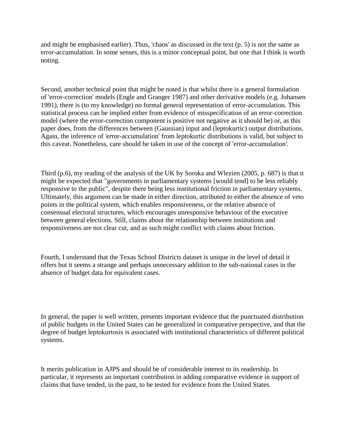and might be emphasised earlier). Thus, 'chaos' as discussed in the text  $(p, 5)$  is not the same as error-accumulation. In some senses, this is a minor conceptual point, but one that I think is worth noting.

Second, another technical point that might be noted is that whilst there is a general formulation of 'error-correction' models (Engle and Granger 1987) and other derivative models (e.g. Johansen 1991), there is (to my knowledge) no formal general representation of error-accumulation. This statistical process can be implied either from evidence of misspecification of an error-correction model (where the error-correction component is positive not negative as it should be) or, as this paper does, from the differences between (Gaussian) input and (leptokurtic) output distributions. Again, the inference of 'error-accumulation' from leptokurtic distributions is valid, but subject to this caveat. Nonetheless, care should be taken in use of the concept of 'error-accumulation'.

Third (p.6), my reading of the analysis of the UK by Soroka and Wlezien (2005, p. 687) is that it might be expected that "governments in parliamentary systems [would tend] to be less reliably responsive to the public", despite there being less institutional friction in parliamentary systems. Ultimately, this argument can be made in either direction, attributed to either the absence of veto points in the political system, which enables responsiveness, or the relative absence of consensual electoral structures, which encourages unresponsive behaviour of the executive between general elections. Still, claims about the relationship between institutions and responsiveness are not clear cut, and as such might conflict with claims about friction.

Fourth, I understand that the Texas School Districts dataset is unique in the level of detail it offers but it seems a strange and perhaps unnecessary addition to the sub-national cases in the absence of budget data for equivalent cases.

In general, the paper is well written, presents important evidence that the punctuated distribution of public budgets in the United States can be generalized in comparative perspective, and that the degree of budget leptokurtosis is associated with institutional characteristics of different political systems.

It merits publication in AJPS and should be of considerable interest to its readership. In particular, it represents an important contribution in adding comparative evidence in support of claims that have tended, in the past, to be tested for evidence from the United States.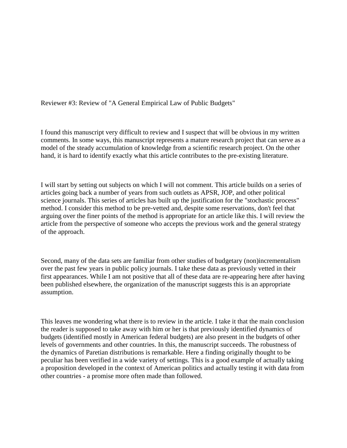Reviewer #3: Review of "A General Empirical Law of Public Budgets"

I found this manuscript very difficult to review and I suspect that will be obvious in my written comments. In some ways, this manuscript represents a mature research project that can serve as a model of the steady accumulation of knowledge from a scientific research project. On the other hand, it is hard to identify exactly what this article contributes to the pre-existing literature.

I will start by setting out subjects on which I will not comment. This article builds on a series of articles going back a number of years from such outlets as APSR, JOP, and other political science journals. This series of articles has built up the justification for the "stochastic process" method. I consider this method to be pre-vetted and, despite some reservations, don't feel that arguing over the finer points of the method is appropriate for an article like this. I will review the article from the perspective of someone who accepts the previous work and the general strategy of the approach.

Second, many of the data sets are familiar from other studies of budgetary (non)incrementalism over the past few years in public policy journals. I take these data as previously vetted in their first appearances. While I am not positive that all of these data are re-appearing here after having been published elsewhere, the organization of the manuscript suggests this is an appropriate assumption.

This leaves me wondering what there is to review in the article. I take it that the main conclusion the reader is supposed to take away with him or her is that previously identified dynamics of budgets (identified mostly in American federal budgets) are also present in the budgets of other levels of governments and other countries. In this, the manuscript succeeds. The robustness of the dynamics of Paretian distributions is remarkable. Here a finding originally thought to be peculiar has been verified in a wide variety of settings. This is a good example of actually taking a proposition developed in the context of American politics and actually testing it with data from other countries - a promise more often made than followed.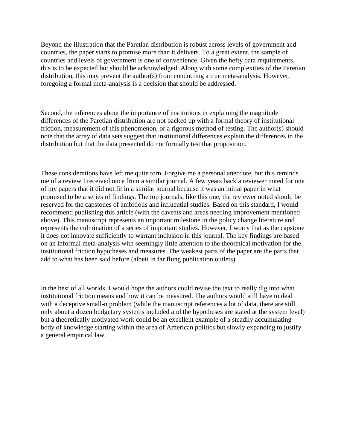Beyond the illustration that the Paretian distribution is robust across levels of government and countries, the paper starts to promise more than it delivers. To a great extent, the sample of countries and levels of government is one of convenience. Given the hefty data requirements, this is to be expected but should be acknowledged. Along with some complexities of the Paretian distribution, this may prevent the author(s) from conducting a true meta-analysis. However, foregoing a formal meta-analysis is a decision that should be addressed.

Second, the inferences about the importance of institutions in explaining the magnitude differences of the Paretian distribution are not backed up with a formal theory of institutional friction, measurement of this phenomenon, or a rigorous method of testing. The author(s) should note that the array of data sets suggest that institutional differences explain the differences in the distribution but that the data presented do not formally test that proposition.

These considerations have left me quite torn. Forgive me a personal anecdote, but this reminds me of a review I received once from a similar journal. A few years back a reviewer noted for one of my papers that it did not fit in a similar journal because it was an initial paper in what promised to be a series of findings. The top journals, like this one, the reviewer noted should be reserved for the capstones of ambitious and influential studies. Based on this standard, I would recommend publishing this article (with the caveats and areas needing improvement mentioned above). This manuscript represents an important milestone in the policy change literature and represents the culmination of a series of important studies. However, I worry that as the capstone it does not innovate sufficiently to warrant inclusion in this journal. The key findings are based on an informal meta-analysis with seemingly little attention to the theoretical motivation for the institutional friction hypotheses and measures. The weakest parts of the paper are the parts that add to what has been said before (albeit in far flung publication outlets)

In the best of all worlds, I would hope the authors could revise the text to really dig into what institutional friction means and how it can be measured. The authors would still have to deal with a deceptive small-n problem (while the manuscript references a lot of data, there are still only about a dozen budgetary systems included and the hypotheses are stated at the system level) but a theoretically motivated work could be an excellent example of a steadily accumulating body of knowledge starting within the area of American politics but slowly expanding to justify a general empirical law.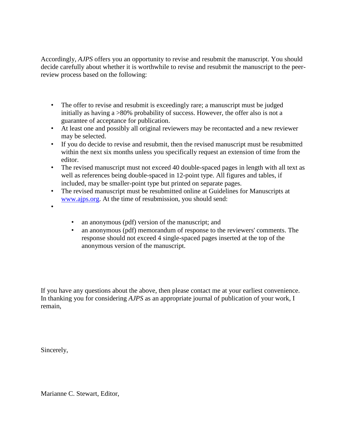Accordingly, *AJPS* offers you an opportunity to revise and resubmit the manuscript. You should decide carefully about whether it is worthwhile to revise and resubmit the manuscript to the peerreview process based on the following:

- The offer to revise and resubmit is exceedingly rare; a manuscript must be judged initially as having a  $>80\%$  probability of success. However, the offer also is not a guarantee of acceptance for publication.
- At least one and possibly all original reviewers may be recontacted and a new reviewer may be selected.
- If you do decide to revise and resubmit, then the revised manuscript must be resubmitted within the next six months unless you specifically request an extension of time from the editor.
- The revised manuscript must not exceed 40 double-spaced pages in length with all text as well as references being double-spaced in 12-point type. All figures and tables, if included, may be smaller-point type but printed on separate pages.
- The revised manuscript must be resubmitted online at Guidelines for Manuscripts at [www.ajps.org.](http://www.ajps.org_/) At the time of resubmission, you should send:
- •
- an anonymous (pdf) version of the manuscript; and
- an anonymous (pdf) memorandum of response to the reviewers' comments. The response should not exceed 4 single-spaced pages inserted at the top of the anonymous version of the manuscript.

If you have any questions about the above, then please contact me at your earliest convenience. In thanking you for considering *AJPS* as an appropriate journal of publication of your work, I remain,

Sincerely,

Marianne C. Stewart, Editor,